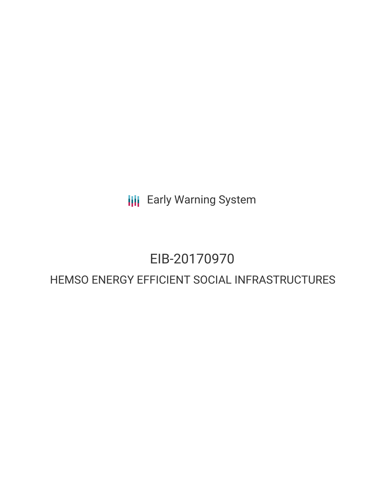**III** Early Warning System

# EIB-20170970

## HEMSO ENERGY EFFICIENT SOCIAL INFRASTRUCTURES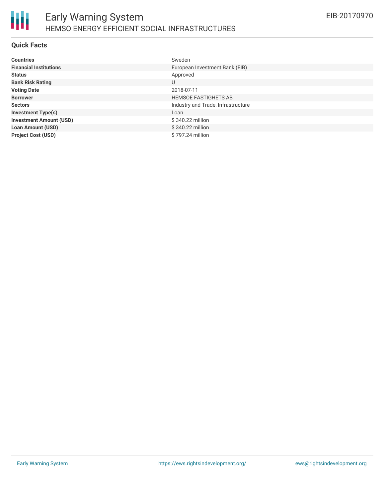#### **Quick Facts**

| <b>Countries</b>               | Sweden                             |
|--------------------------------|------------------------------------|
| <b>Financial Institutions</b>  | European Investment Bank (EIB)     |
| <b>Status</b>                  | Approved                           |
| <b>Bank Risk Rating</b>        | U                                  |
| <b>Voting Date</b>             | 2018-07-11                         |
| <b>Borrower</b>                | <b>HEMSOE FASTIGHETS AB</b>        |
| <b>Sectors</b>                 | Industry and Trade, Infrastructure |
| <b>Investment Type(s)</b>      | Loan                               |
| <b>Investment Amount (USD)</b> | \$340.22 million                   |
| <b>Loan Amount (USD)</b>       | \$340.22 million                   |
| <b>Project Cost (USD)</b>      | \$797.24 million                   |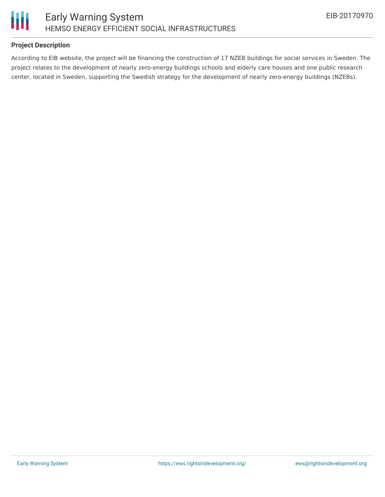



#### **Project Description**

According to EIB website, the project will be financing the construction of 17 NZEB buildings for social services in Sweden. The project relates to the development of nearly zero-energy buildings schools and elderly care houses and one public research center, located in Sweden, supporting the Swedish strategy for the development of nearly zero-energy buildings (NZEBs).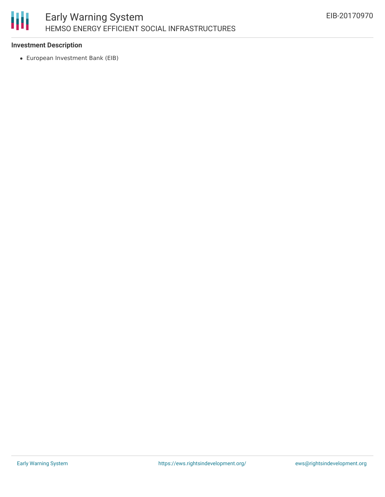

#### **Investment Description**

European Investment Bank (EIB)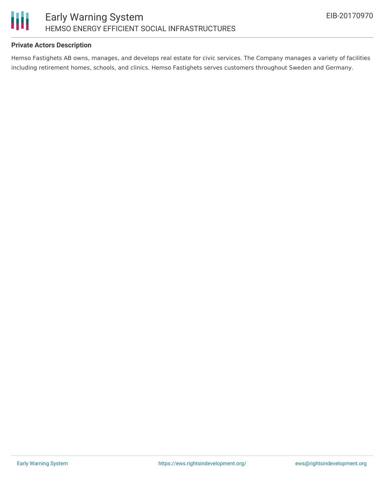

#### **Private Actors Description**

Hemso Fastighets AB owns, manages, and develops real estate for civic services. The Company manages a variety of facilities including retirement homes, schools, and clinics. Hemso Fastighets serves customers throughout Sweden and Germany.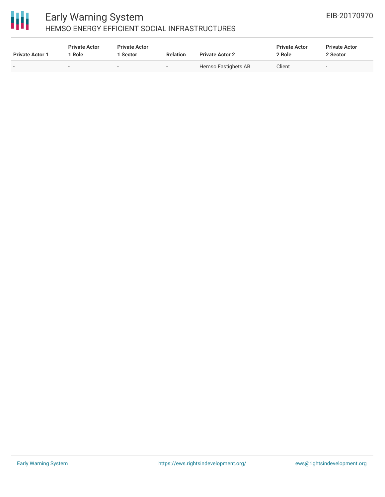

### Early Warning System HEMSO ENERGY EFFICIENT SOCIAL INFRASTRUCTURES

| <b>Private Actor 1</b> | <b>Private Actor</b><br>Role | <b>Private Actor</b><br>l Sector | <b>Relation</b>          | <b>Private Actor 2</b> | <b>Private Actor</b><br>2 Role | <b>Private Actor</b><br>2 Sector |
|------------------------|------------------------------|----------------------------------|--------------------------|------------------------|--------------------------------|----------------------------------|
|                        |                              |                                  | $\overline{\phantom{a}}$ | Hemso Fastighets AB    | Client                         |                                  |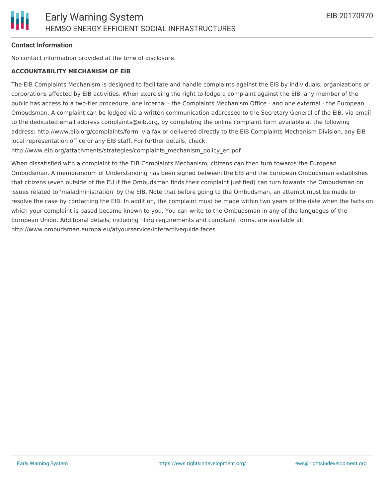#### **Contact Information**

No contact information provided at the time of disclosure.

#### **ACCOUNTABILITY MECHANISM OF EIB**

The EIB Complaints Mechanism is designed to facilitate and handle complaints against the EIB by individuals, organizations or corporations affected by EIB activities. When exercising the right to lodge a complaint against the EIB, any member of the public has access to a two-tier procedure, one internal - the Complaints Mechanism Office - and one external - the European Ombudsman. A complaint can be lodged via a written communication addressed to the Secretary General of the EIB, via email to the dedicated email address complaints@eib.org, by completing the online complaint form available at the following address: http://www.eib.org/complaints/form, via fax or delivered directly to the EIB Complaints Mechanism Division, any EIB local representation office or any EIB staff. For further details, check:

http://www.eib.org/attachments/strategies/complaints\_mechanism\_policy\_en.pdf

When dissatisfied with a complaint to the EIB Complaints Mechanism, citizens can then turn towards the European Ombudsman. A memorandum of Understanding has been signed between the EIB and the European Ombudsman establishes that citizens (even outside of the EU if the Ombudsman finds their complaint justified) can turn towards the Ombudsman on issues related to 'maladministration' by the EIB. Note that before going to the Ombudsman, an attempt must be made to resolve the case by contacting the EIB. In addition, the complaint must be made within two years of the date when the facts on which your complaint is based became known to you. You can write to the Ombudsman in any of the languages of the European Union. Additional details, including filing requirements and complaint forms, are available at: http://www.ombudsman.europa.eu/atyourservice/interactiveguide.faces